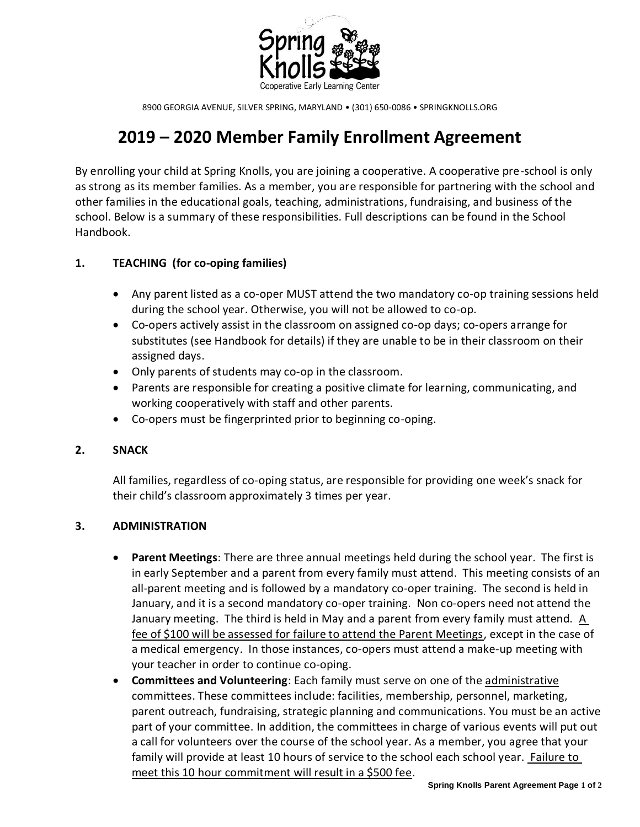

8900 GEORGIA AVENUE, SILVER SPRING, MARYLAND • (301) 650-0086 • SPRINGKNOLLS.ORG

# **2019 – 2020 Member Family Enrollment Agreement**

By enrolling your child at Spring Knolls, you are joining a cooperative. A cooperative pre-school is only as strong as its member families. As a member, you are responsible for partnering with the school and other families in the educational goals, teaching, administrations, fundraising, and business of the school. Below is a summary of these responsibilities. Full descriptions can be found in the School Handbook.

## **1. TEACHING (for co-oping families)**

- Any parent listed as a co-oper MUST attend the two mandatory co-op training sessions held during the school year. Otherwise, you will not be allowed to co-op.
- Co-opers actively assist in the classroom on assigned co-op days; co-opers arrange for substitutes (see Handbook for details) if they are unable to be in their classroom on their assigned days.
- Only parents of students may co-op in the classroom.
- Parents are responsible for creating a positive climate for learning, communicating, and working cooperatively with staff and other parents.
- Co-opers must be fingerprinted prior to beginning co-oping.

#### **2. SNACK**

All families, regardless of co-oping status, are responsible for providing one week's snack for their child's classroom approximately 3 times per year.

#### **3. ADMINISTRATION**

- **Parent Meetings**: There are three annual meetings held during the school year. The first is in early September and a parent from every family must attend. This meeting consists of an all-parent meeting and is followed by a mandatory co-oper training. The second is held in January, and it is a second mandatory co-oper training. Non co-opers need not attend the January meeting. The third is held in May and a parent from every family must attend. A fee of \$100 will be assessed for failure to attend the Parent Meetings, except in the case of a medical emergency. In those instances, co-opers must attend a make-up meeting with your teacher in order to continue co-oping.
- **Committees and Volunteering**: Each family must serve on one of the administrative committees. These committees include: facilities, membership, personnel, marketing, parent outreach, fundraising, strategic planning and communications. You must be an active part of your committee. In addition, the committees in charge of various events will put out a call for volunteers over the course of the school year. As a member, you agree that your family will provide at least 10 hours of service to the school each school year. Failure to meet this 10 hour commitment will result in a \$500 fee.